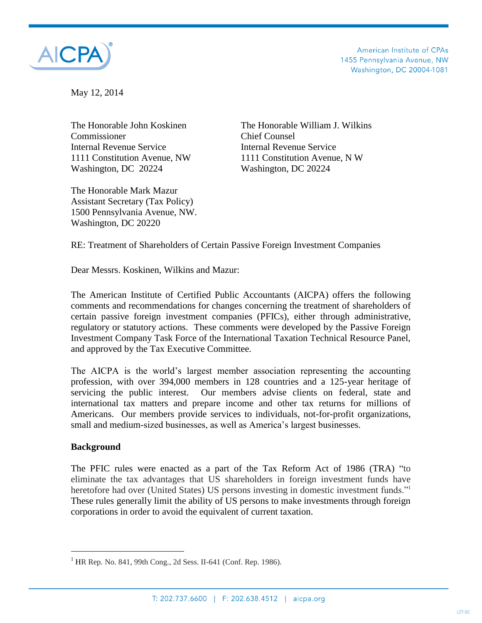

American Institute of CPAs 1455 Pennsylvania Avenue, NW Washington, DC 20004-1081

May 12, 2014

Commissioner Chief Counsel Internal Revenue Service Internal Revenue Service Washington, DC 20224 Washington, DC 20224

The Honorable Mark Mazur Assistant Secretary (Tax Policy) 1500 Pennsylvania Avenue, NW. Washington, DC 20220

The Honorable John Koskinen The Honorable William J. Wilkins 1111 Constitution Avenue, NW 1111 Constitution Avenue, N W

RE: Treatment of Shareholders of Certain Passive Foreign Investment Companies

Dear Messrs. Koskinen, Wilkins and Mazur:

The American Institute of Certified Public Accountants (AICPA) offers the following comments and recommendations for changes concerning the treatment of shareholders of certain passive foreign investment companies (PFICs), either through administrative, regulatory or statutory actions. These comments were developed by the Passive Foreign Investment Company Task Force of the International Taxation Technical Resource Panel, and approved by the Tax Executive Committee.

The AICPA is the world's largest member association representing the accounting profession, with over 394,000 members in 128 countries and a 125-year heritage of servicing the public interest. Our members advise clients on federal, state and international tax matters and prepare income and other tax returns for millions of Americans. Our members provide services to individuals, not-for-profit organizations, small and medium-sized businesses, as well as America's largest businesses.

#### **Background**

 $\overline{a}$ 

The PFIC rules were enacted as a part of the Tax Reform Act of 1986 (TRA) "to eliminate the tax advantages that US shareholders in foreign investment funds have heretofore had over (United States) US persons investing in domestic investment funds."<sup>1</sup> These rules generally limit the ability of US persons to make investments through foreign corporations in order to avoid the equivalent of current taxation.

<sup>&</sup>lt;sup>1</sup> HR Rep. No. 841, 99th Cong., 2d Sess. II-641 (Conf. Rep. 1986).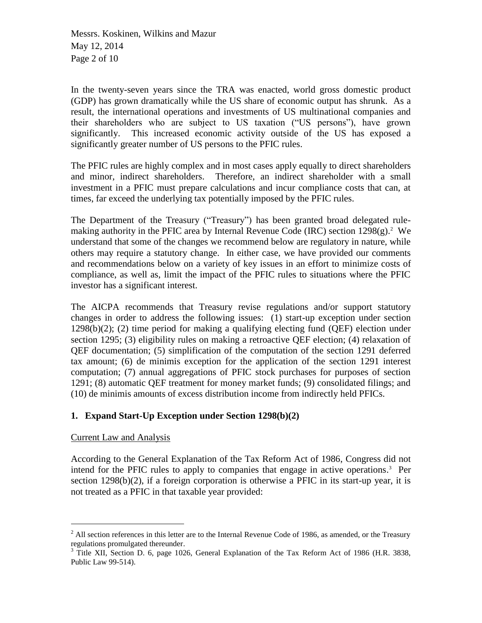Messrs. Koskinen, Wilkins and Mazur May 12, 2014 Page 2 of 10

In the twenty-seven years since the TRA was enacted, world gross domestic product (GDP) has grown dramatically while the US share of economic output has shrunk. As a result, the international operations and investments of US multinational companies and their shareholders who are subject to US taxation ("US persons"), have grown significantly. This increased economic activity outside of the US has exposed a significantly greater number of US persons to the PFIC rules.

The PFIC rules are highly complex and in most cases apply equally to direct shareholders and minor, indirect shareholders. Therefore, an indirect shareholder with a small investment in a PFIC must prepare calculations and incur compliance costs that can, at times, far exceed the underlying tax potentially imposed by the PFIC rules.

The Department of the Treasury ("Treasury") has been granted broad delegated rulemaking authority in the PFIC area by Internal Revenue Code (IRC) section 1298(g).<sup>2</sup> We understand that some of the changes we recommend below are regulatory in nature, while others may require a statutory change. In either case, we have provided our comments and recommendations below on a variety of key issues in an effort to minimize costs of compliance, as well as, limit the impact of the PFIC rules to situations where the PFIC investor has a significant interest.

The AICPA recommends that Treasury revise regulations and/or support statutory changes in order to address the following issues: (1) start-up exception under section 1298(b)(2); (2) time period for making a qualifying electing fund (QEF) election under section 1295; (3) eligibility rules on making a retroactive QEF election; (4) relaxation of QEF documentation; (5) simplification of the computation of the section 1291 deferred tax amount; (6) de minimis exception for the application of the section 1291 interest computation; (7) annual aggregations of PFIC stock purchases for purposes of section 1291; (8) automatic QEF treatment for money market funds; (9) consolidated filings; and (10) de minimis amounts of excess distribution income from indirectly held PFICs.

# **1. Expand Start-Up Exception under Section 1298(b)(2)**

#### Current Law and Analysis

 $\overline{a}$ 

According to the General Explanation of the Tax Reform Act of 1986, Congress did not intend for the PFIC rules to apply to companies that engage in active operations. <sup>3</sup> Per section 1298(b)(2), if a foreign corporation is otherwise a PFIC in its start-up year, it is not treated as a PFIC in that taxable year provided:

 $^{2}$  All section references in this letter are to the Internal Revenue Code of 1986, as amended, or the Treasury regulations promulgated thereunder.

<sup>&</sup>lt;sup>3</sup> Title XII, Section D. 6, page 1026, General Explanation of the Tax Reform Act of 1986 (H.R. 3838, Public Law 99-514).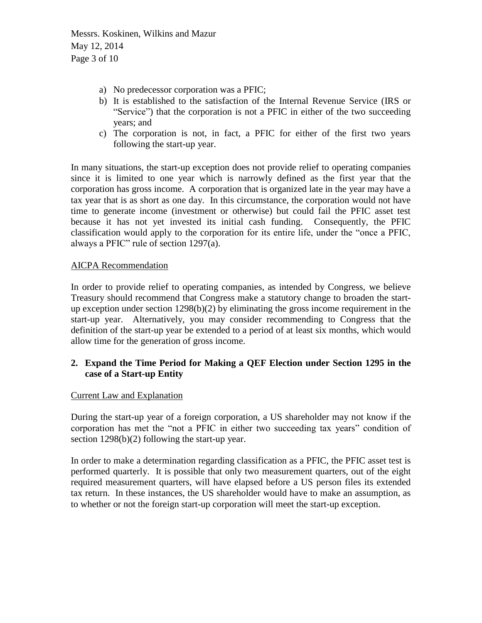Messrs. Koskinen, Wilkins and Mazur May 12, 2014 Page 3 of 10

- a) No predecessor corporation was a PFIC;
- b) It is established to the satisfaction of the Internal Revenue Service (IRS or "Service") that the corporation is not a PFIC in either of the two succeeding years; and
- c) The corporation is not, in fact, a PFIC for either of the first two years following the start-up year.

In many situations, the start-up exception does not provide relief to operating companies since it is limited to one year which is narrowly defined as the first year that the corporation has gross income. A corporation that is organized late in the year may have a tax year that is as short as one day. In this circumstance, the corporation would not have time to generate income (investment or otherwise) but could fail the PFIC asset test because it has not yet invested its initial cash funding. Consequently, the PFIC classification would apply to the corporation for its entire life, under the "once a PFIC, always a PFIC" rule of section 1297(a).

## AICPA Recommendation

In order to provide relief to operating companies, as intended by Congress, we believe Treasury should recommend that Congress make a statutory change to broaden the startup exception under section 1298(b)(2) by eliminating the gross income requirement in the start-up year. Alternatively, you may consider recommending to Congress that the definition of the start-up year be extended to a period of at least six months, which would allow time for the generation of gross income.

## **2. Expand the Time Period for Making a QEF Election under Section 1295 in the case of a Start-up Entity**

#### Current Law and Explanation

During the start-up year of a foreign corporation, a US shareholder may not know if the corporation has met the "not a PFIC in either two succeeding tax years" condition of section 1298(b)(2) following the start-up year.

In order to make a determination regarding classification as a PFIC, the PFIC asset test is performed quarterly. It is possible that only two measurement quarters, out of the eight required measurement quarters, will have elapsed before a US person files its extended tax return. In these instances, the US shareholder would have to make an assumption, as to whether or not the foreign start-up corporation will meet the start-up exception.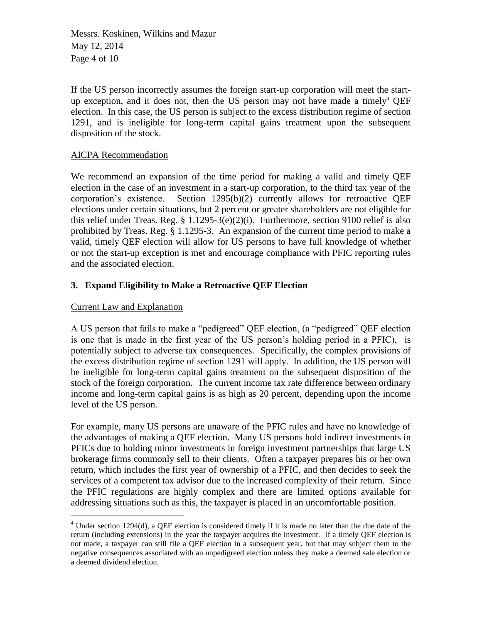Messrs. Koskinen, Wilkins and Mazur May 12, 2014 Page 4 of 10

If the US person incorrectly assumes the foreign start-up corporation will meet the startup exception, and it does not, then the US person may not have made a timely<sup>4</sup> QEF election. In this case, the US person is subject to the excess distribution regime of section 1291, and is ineligible for long-term capital gains treatment upon the subsequent disposition of the stock.

## AICPA Recommendation

We recommend an expansion of the time period for making a valid and timely QEF election in the case of an investment in a start-up corporation, to the third tax year of the corporation's existence. Section 1295(b)(2) currently allows for retroactive QEF elections under certain situations, but 2 percent or greater shareholders are not eligible for this relief under Treas. Reg. § 1.1295-3(e)(2)(i). Furthermore, section 9100 relief is also prohibited by Treas. Reg. § 1.1295-3. An expansion of the current time period to make a valid, timely QEF election will allow for US persons to have full knowledge of whether or not the start-up exception is met and encourage compliance with PFIC reporting rules and the associated election.

# **3. Expand Eligibility to Make a Retroactive QEF Election**

#### Current Law and Explanation

 $\overline{a}$ 

A US person that fails to make a "pedigreed" QEF election, (a "pedigreed" QEF election is one that is made in the first year of the US person's holding period in a PFIC), is potentially subject to adverse tax consequences. Specifically, the complex provisions of the excess distribution regime of section 1291 will apply. In addition, the US person will be ineligible for long-term capital gains treatment on the subsequent disposition of the stock of the foreign corporation. The current income tax rate difference between ordinary income and long-term capital gains is as high as 20 percent, depending upon the income level of the US person.

For example, many US persons are unaware of the PFIC rules and have no knowledge of the advantages of making a QEF election. Many US persons hold indirect investments in PFICs due to holding minor investments in foreign investment partnerships that large US brokerage firms commonly sell to their clients. Often a taxpayer prepares his or her own return, which includes the first year of ownership of a PFIC, and then decides to seek the services of a competent tax advisor due to the increased complexity of their return. Since the PFIC regulations are highly complex and there are limited options available for addressing situations such as this, the taxpayer is placed in an uncomfortable position.

<sup>4</sup> Under section 1294(d), a QEF election is considered timely if it is made no later than the due date of the return (including extensions) in the year the taxpayer acquires the investment. If a timely QEF election is not made, a taxpayer can still file a QEF election in a subsequent year, but that may subject them to the negative consequences associated with an unpedigreed election unless they make a deemed sale election or a deemed dividend election.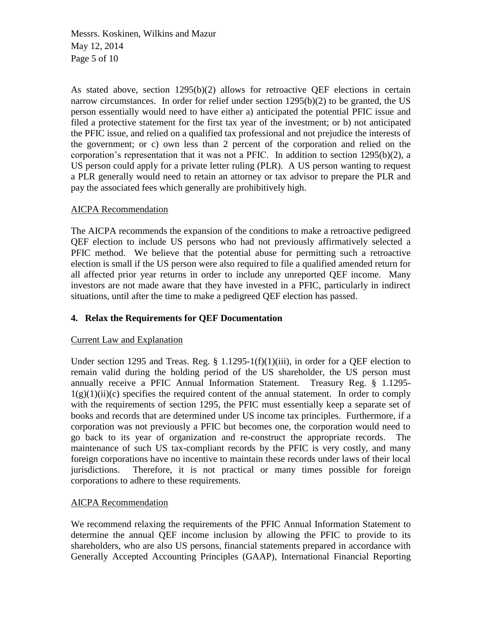Messrs. Koskinen, Wilkins and Mazur May 12, 2014 Page 5 of 10

As stated above, section 1295(b)(2) allows for retroactive QEF elections in certain narrow circumstances. In order for relief under section 1295(b)(2) to be granted, the US person essentially would need to have either a) anticipated the potential PFIC issue and filed a protective statement for the first tax year of the investment; or b) not anticipated the PFIC issue, and relied on a qualified tax professional and not prejudice the interests of the government; or c) own less than 2 percent of the corporation and relied on the corporation's representation that it was not a PFIC. In addition to section  $1295(b)(2)$ , a US person could apply for a private letter ruling (PLR). A US person wanting to request a PLR generally would need to retain an attorney or tax advisor to prepare the PLR and pay the associated fees which generally are prohibitively high.

#### AICPA Recommendation

The AICPA recommends the expansion of the conditions to make a retroactive pedigreed QEF election to include US persons who had not previously affirmatively selected a PFIC method. We believe that the potential abuse for permitting such a retroactive election is small if the US person were also required to file a qualified amended return for all affected prior year returns in order to include any unreported QEF income. Many investors are not made aware that they have invested in a PFIC, particularly in indirect situations, until after the time to make a pedigreed QEF election has passed.

# **4. Relax the Requirements for QEF Documentation**

#### Current Law and Explanation

Under section 1295 and Treas. Reg. § 1.1295-1(f)(1)(iii), in order for a QEF election to remain valid during the holding period of the US shareholder, the US person must annually receive a PFIC Annual Information Statement. Treasury Reg. § 1.1295-  $1(g)(1)(ii)(c)$  specifies the required content of the annual statement. In order to comply with the requirements of section 1295, the PFIC must essentially keep a separate set of books and records that are determined under US income tax principles. Furthermore, if a corporation was not previously a PFIC but becomes one, the corporation would need to go back to its year of organization and re-construct the appropriate records. The maintenance of such US tax-compliant records by the PFIC is very costly, and many foreign corporations have no incentive to maintain these records under laws of their local jurisdictions. Therefore, it is not practical or many times possible for foreign corporations to adhere to these requirements.

#### AICPA Recommendation

We recommend relaxing the requirements of the PFIC Annual Information Statement to determine the annual QEF income inclusion by allowing the PFIC to provide to its shareholders, who are also US persons, financial statements prepared in accordance with Generally Accepted Accounting Principles (GAAP), International Financial Reporting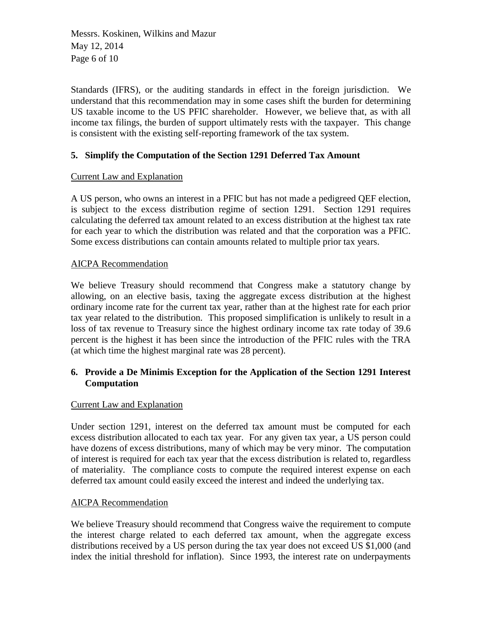Messrs. Koskinen, Wilkins and Mazur May 12, 2014 Page 6 of 10

Standards (IFRS), or the auditing standards in effect in the foreign jurisdiction. We understand that this recommendation may in some cases shift the burden for determining US taxable income to the US PFIC shareholder. However, we believe that, as with all income tax filings, the burden of support ultimately rests with the taxpayer. This change is consistent with the existing self-reporting framework of the tax system.

## **5. Simplify the Computation of the Section 1291 Deferred Tax Amount**

## Current Law and Explanation

A US person, who owns an interest in a PFIC but has not made a pedigreed QEF election, is subject to the excess distribution regime of section 1291. Section 1291 requires calculating the deferred tax amount related to an excess distribution at the highest tax rate for each year to which the distribution was related and that the corporation was a PFIC. Some excess distributions can contain amounts related to multiple prior tax years.

## AICPA Recommendation

We believe Treasury should recommend that Congress make a statutory change by allowing, on an elective basis, taxing the aggregate excess distribution at the highest ordinary income rate for the current tax year, rather than at the highest rate for each prior tax year related to the distribution. This proposed simplification is unlikely to result in a loss of tax revenue to Treasury since the highest ordinary income tax rate today of 39.6 percent is the highest it has been since the introduction of the PFIC rules with the TRA (at which time the highest marginal rate was 28 percent).

# **6. Provide a De Minimis Exception for the Application of the Section 1291 Interest Computation**

#### Current Law and Explanation

Under section 1291, interest on the deferred tax amount must be computed for each excess distribution allocated to each tax year. For any given tax year, a US person could have dozens of excess distributions, many of which may be very minor. The computation of interest is required for each tax year that the excess distribution is related to, regardless of materiality. The compliance costs to compute the required interest expense on each deferred tax amount could easily exceed the interest and indeed the underlying tax.

#### AICPA Recommendation

We believe Treasury should recommend that Congress waive the requirement to compute the interest charge related to each deferred tax amount, when the aggregate excess distributions received by a US person during the tax year does not exceed US \$1,000 (and index the initial threshold for inflation). Since 1993, the interest rate on underpayments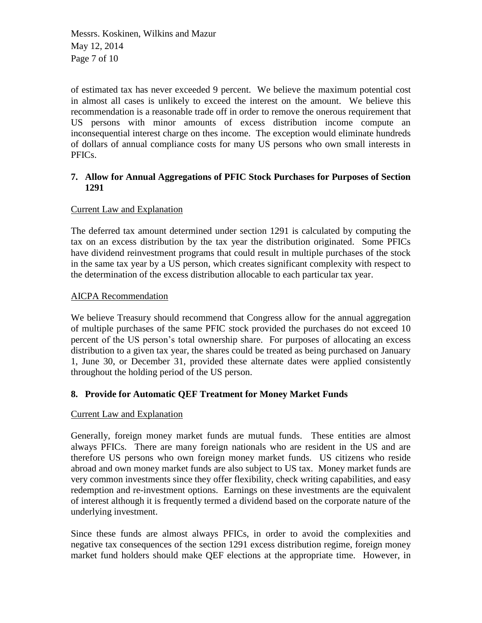Messrs. Koskinen, Wilkins and Mazur May 12, 2014 Page 7 of 10

of estimated tax has never exceeded 9 percent. We believe the maximum potential cost in almost all cases is unlikely to exceed the interest on the amount. We believe this recommendation is a reasonable trade off in order to remove the onerous requirement that US persons with minor amounts of excess distribution income compute an inconsequential interest charge on thes income. The exception would eliminate hundreds of dollars of annual compliance costs for many US persons who own small interests in PFICs.

## **7. Allow for Annual Aggregations of PFIC Stock Purchases for Purposes of Section 1291**

## Current Law and Explanation

The deferred tax amount determined under section 1291 is calculated by computing the tax on an excess distribution by the tax year the distribution originated. Some PFICs have dividend reinvestment programs that could result in multiple purchases of the stock in the same tax year by a US person, which creates significant complexity with respect to the determination of the excess distribution allocable to each particular tax year.

## AICPA Recommendation

We believe Treasury should recommend that Congress allow for the annual aggregation of multiple purchases of the same PFIC stock provided the purchases do not exceed 10 percent of the US person's total ownership share. For purposes of allocating an excess distribution to a given tax year, the shares could be treated as being purchased on January 1, June 30, or December 31, provided these alternate dates were applied consistently throughout the holding period of the US person.

# **8. Provide for Automatic QEF Treatment for Money Market Funds**

#### Current Law and Explanation

Generally, foreign money market funds are mutual funds. These entities are almost always PFICs. There are many foreign nationals who are resident in the US and are therefore US persons who own foreign money market funds. US citizens who reside abroad and own money market funds are also subject to US tax. Money market funds are very common investments since they offer flexibility, check writing capabilities, and easy redemption and re-investment options. Earnings on these investments are the equivalent of interest although it is frequently termed a dividend based on the corporate nature of the underlying investment.

Since these funds are almost always PFICs, in order to avoid the complexities and negative tax consequences of the section 1291 excess distribution regime, foreign money market fund holders should make QEF elections at the appropriate time. However, in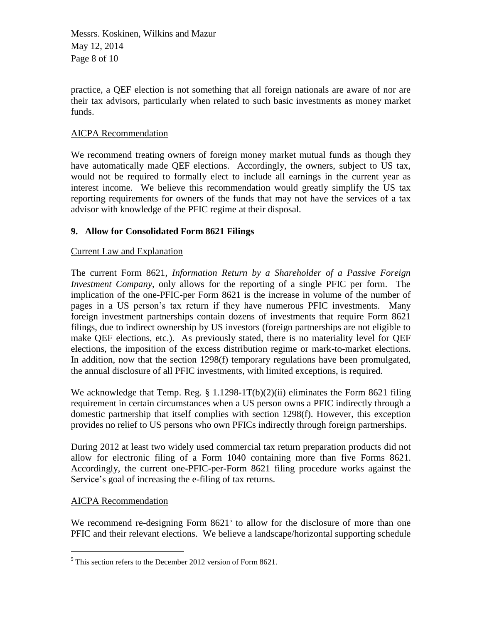Messrs. Koskinen, Wilkins and Mazur May 12, 2014 Page 8 of 10

practice, a QEF election is not something that all foreign nationals are aware of nor are their tax advisors, particularly when related to such basic investments as money market funds.

## AICPA Recommendation

We recommend treating owners of foreign money market mutual funds as though they have automatically made QEF elections. Accordingly, the owners, subject to US tax, would not be required to formally elect to include all earnings in the current year as interest income. We believe this recommendation would greatly simplify the US tax reporting requirements for owners of the funds that may not have the services of a tax advisor with knowledge of the PFIC regime at their disposal.

# **9. Allow for Consolidated Form 8621 Filings**

# Current Law and Explanation

The current Form 8621, *Information Return by a Shareholder of a Passive Foreign Investment Company*, only allows for the reporting of a single PFIC per form. The implication of the one-PFIC-per Form 8621 is the increase in volume of the number of pages in a US person's tax return if they have numerous PFIC investments. Many foreign investment partnerships contain dozens of investments that require Form 8621 filings, due to indirect ownership by US investors (foreign partnerships are not eligible to make QEF elections, etc.). As previously stated, there is no materiality level for QEF elections, the imposition of the excess distribution regime or mark-to-market elections. In addition, now that the section 1298(f) temporary regulations have been promulgated, the annual disclosure of all PFIC investments, with limited exceptions, is required.

We acknowledge that Temp. Reg. § 1.1298-1T(b)(2)(ii) eliminates the Form 8621 filing requirement in certain circumstances when a US person owns a PFIC indirectly through a domestic partnership that itself complies with section 1298(f). However, this exception provides no relief to US persons who own PFICs indirectly through foreign partnerships.

During 2012 at least two widely used commercial tax return preparation products did not allow for electronic filing of a Form 1040 containing more than five Forms 8621. Accordingly, the current one-PFIC-per-Form 8621 filing procedure works against the Service's goal of increasing the e-filing of tax returns.

# AICPA Recommendation

 $\overline{a}$ 

We recommend re-designing Form  $8621<sup>5</sup>$  to allow for the disclosure of more than one PFIC and their relevant elections. We believe a landscape/horizontal supporting schedule

 $5$  This section refers to the December 2012 version of Form 8621.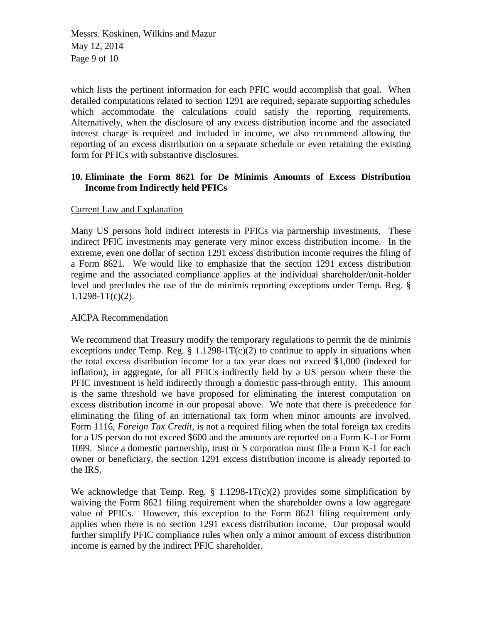Messrs. Koskinen, Wilkins and Mazur May 12, 2014 Page 9 of 10

which lists the pertinent information for each PFIC would accomplish that goal. When detailed computations related to section 1291 are required, separate supporting schedules which accommodate the calculations could satisfy the reporting requirements. Alternatively, when the disclosure of any excess distribution income and the associated interest charge is required and included in income, we also recommend allowing the reporting of an excess distribution on a separate schedule or even retaining the existing form for PFICs with substantive disclosures.

## **10. Eliminate the Form 8621 for De Minimis Amounts of Excess Distribution Income from Indirectly held PFICs**

#### Current Law and Explanation

Many US persons hold indirect interests in PFICs via partnership investments. These indirect PFIC investments may generate very minor excess distribution income. In the extreme, even one dollar of section 1291 excess distribution income requires the filing of a Form 8621. We would like to emphasize that the section 1291 excess distribution regime and the associated compliance applies at the individual shareholder/unit-holder level and precludes the use of the de minimis reporting exceptions under Temp. Reg. §  $1.1298 - 1T(c)(2)$ .

#### AICPA Recommendation

We recommend that Treasury modify the temporary regulations to permit the de minimis exceptions under Temp. Reg.  $\S$  1.1298-1T(c)(2) to continue to apply in situations when the total excess distribution income for a tax year does not exceed \$1,000 (indexed for inflation), in aggregate, for all PFICs indirectly held by a US person where there the PFIC investment is held indirectly through a domestic pass-through entity. This amount is the same threshold we have proposed for eliminating the interest computation on excess distribution income in our proposal above. We note that there is precedence for eliminating the filing of an international tax form when minor amounts are involved. Form 1116, *Foreign Tax Credit*, is not a required filing when the total foreign tax credits for a US person do not exceed \$600 and the amounts are reported on a Form K-1 or Form 1099. Since a domestic partnership, trust or S corporation must file a Form K-1 for each owner or beneficiary, the section 1291 excess distribution income is already reported to the IRS.

We acknowledge that Temp. Reg.  $\S$  1.1298-1T(c)(2) provides some simplification by waiving the Form 8621 filing requirement when the shareholder owns a low aggregate value of PFICs. However, this exception to the Form 8621 filing requirement only applies when there is no section 1291 excess distribution income. Our proposal would further simplify PFIC compliance rules when only a minor amount of excess distribution income is earned by the indirect PFIC shareholder.